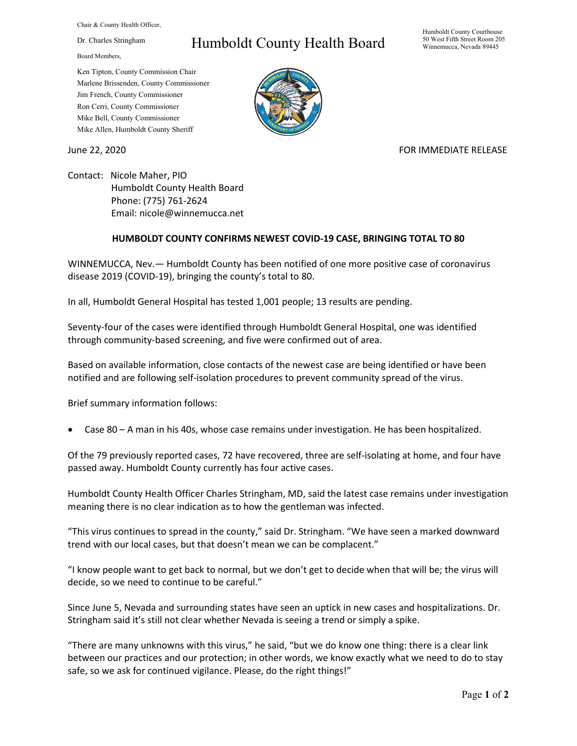Chair & County Health Officer,

Dr. Charles Stringham

Board Members,

## Ken Tipton, County Commission Chair Marlene Brissenden, County Commissioner Jim French, County Commissioner Ron Cerri, County Commissioner Mike Bell, County Commissioner

Mike Allen, Humboldt County Sheriff

# Humboldt County Health Board

#### Humboldt County Courthouse 50 West Fifth Street Room 205 Winnemucca, Nevada 89445



## June 22, 2020 **FOR IMMEDIATE RELEASE**

Contact: Nicole Maher, PIO Humboldt County Health Board Phone: (775) 761-2624 Email: nicole@winnemucca.net

## **HUMBOLDT COUNTY CONFIRMS NEWEST COVID-19 CASE, BRINGING TOTAL TO 80**

WINNEMUCCA, Nev.— Humboldt County has been notified of one more positive case of coronavirus disease 2019 (COVID-19), bringing the county's total to 80.

In all, Humboldt General Hospital has tested 1,001 people; 13 results are pending.

Seventy-four of the cases were identified through Humboldt General Hospital, one was identified through community-based screening, and five were confirmed out of area.

Based on available information, close contacts of the newest case are being identified or have been notified and are following self-isolation procedures to prevent community spread of the virus.

Brief summary information follows:

• Case 80 – A man in his 40s, whose case remains under investigation. He has been hospitalized.

Of the 79 previously reported cases, 72 have recovered, three are self-isolating at home, and four have passed away. Humboldt County currently has four active cases.

Humboldt County Health Officer Charles Stringham, MD, said the latest case remains under investigation meaning there is no clear indication as to how the gentleman was infected.

"This virus continues to spread in the county," said Dr. Stringham. "We have seen a marked downward trend with our local cases, but that doesn't mean we can be complacent."

"I know people want to get back to normal, but we don't get to decide when that will be; the virus will decide, so we need to continue to be careful."

Since June 5, Nevada and surrounding states have seen an uptick in new cases and hospitalizations. Dr. Stringham said it's still not clear whether Nevada is seeing a trend or simply a spike.

"There are many unknowns with this virus," he said, "but we do know one thing: there is a clear link between our practices and our protection; in other words, we know exactly what we need to do to stay safe, so we ask for continued vigilance. Please, do the right things!"